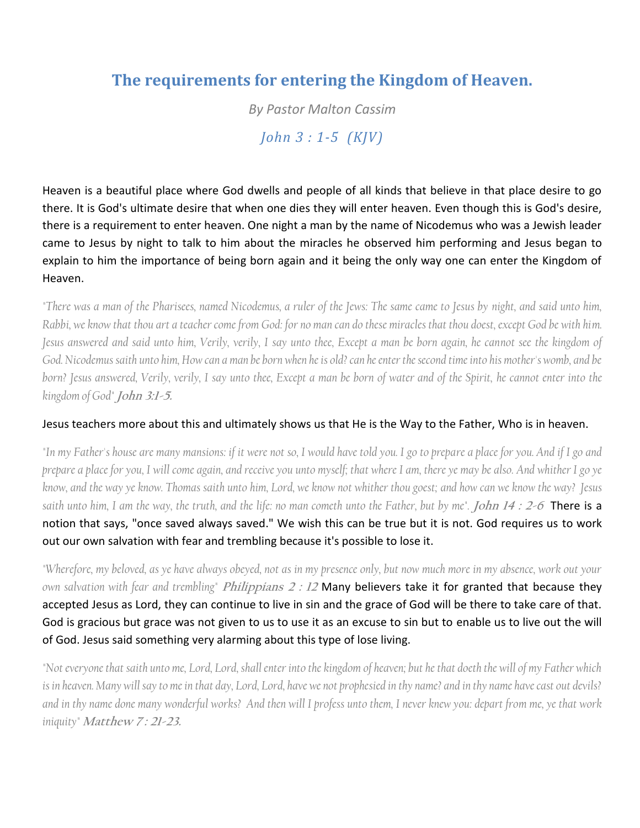## **The requirements for entering the Kingdom of Heaven.**

*By Pastor Malton Cassim John 3 : 1-5 (KJV)*

Heaven is a beautiful place where God dwells and people of all kinds that believe in that place desire to go there. It is God's ultimate desire that when one dies they will enter heaven. Even though this is God's desire, there is a requirement to enter heaven. One night a man by the name of Nicodemus who was a Jewish leader came to Jesus by night to talk to him about the miracles he observed him performing and Jesus began to explain to him the importance of being born again and it being the only way one can enter the Kingdom of Heaven.

*"There was a man of the Pharisees, named Nicodemus, a ruler of the Jews: The same came to Jesus by night, and said unto him, Rabbi, we know that thou art a teacher come from God: for no man can do these miracles that thou doest, except God be with him. Jesus answered and said unto him, Verily, verily, I say unto thee, Except a man be born again, he cannot see the kingdom of God. Nicodemus saith unto him, How can a man be born when he is old? can he enter the second time into his mother's womb, and be*  born? Jesus answered, Verily, verily, I say unto thee, Except a man be born of water and of the Spirit, he cannot enter into the *kingdom of God"* **John 3:1-5.**

## Jesus teachers more about this and ultimately shows us that He is the Way to the Father, Who is in heaven.

*"In my Father's house are many mansions: if it were not so, I would have told you. I go to prepare a place for you. And if I go and prepare a place for you, I will come again, and receive you unto myself; that where I am, there ye may be also. And whither I go ye know, and the way ye know. Thomas saith unto him, Lord, we know not whither thou goest; and how can we know the way? Jesus saith unto him, I am the way, the truth, and the life: no man cometh unto the Father, but by me".* **John 14 : 2-6** There is a notion that says, "once saved always saved." We wish this can be true but it is not. God requires us to work out our own salvation with fear and trembling because it's possible to lose it.

*"Wherefore, my beloved, as ye have always obeyed, not as in my presence only, but now much more in my absence, work out your own salvation with fear and trembling"* **Philippians <sup>2</sup> : 12** Many believers take it for granted that because they accepted Jesus as Lord, they can continue to live in sin and the grace of God will be there to take care of that. God is gracious but grace was not given to us to use it as an excuse to sin but to enable us to live out the will of God. Jesus said something very alarming about this type of lose living.

*"Not everyone that saith unto me, Lord, Lord, shall enter into the kingdom of heaven; but he that doeth the will of my Father which is in heaven. Many will say to me in that day, Lord, Lord, have we not prophesied in thy name? and in thy name have cast out devils? and in thy name done many wonderful works? And then will I profess unto them, I never knew you: depart from me, ye that work iniquity"* **Matthew 7 : 21-23.**